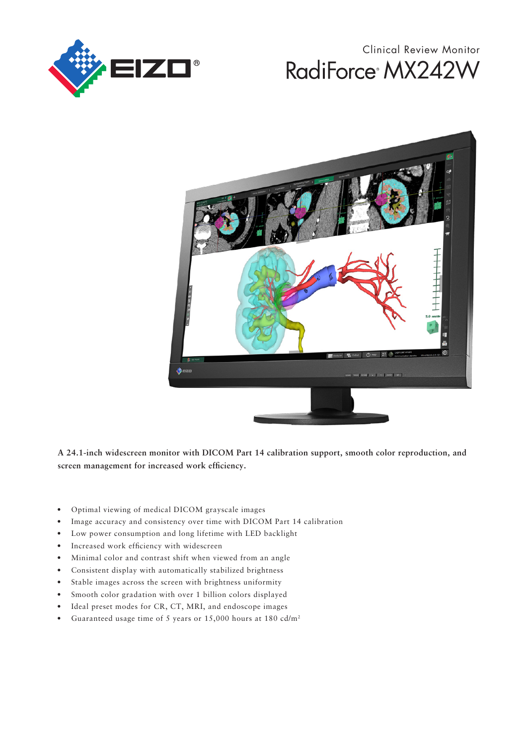

# RadiForce<sup>®</sup> MX242W Clinical Review Monitor



**A 24.1-inch widescreen monitor with DICOM Part 14 calibration support, smooth color reproduction, and screen management for increased work effciency.**

- Optimal viewing of medical DICOM grayscale images
- Image accuracy and consistency over time with DICOM Part 14 calibration
- Low power consumption and long lifetime with LED backlight
- Increased work efficiency with widescreen
- Minimal color and contrast shift when viewed from an angle
- Consistent display with automatically stabilized brightness
- Stable images across the screen with brightness uniformity
- Smooth color gradation with over 1 billion colors displayed
- Ideal preset modes for CR, CT, MRI, and endoscope images
- Guaranteed usage time of 5 years or 15,000 hours at 180 cd/m<sup>2</sup>